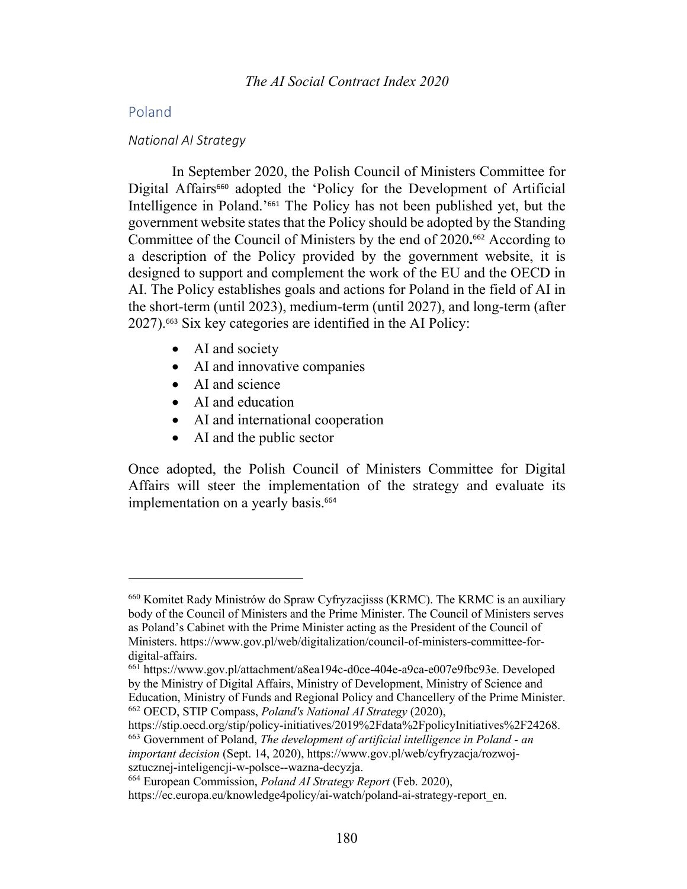## Poland

#### *National AI Strategy*

In September 2020, the Polish Council of Ministers Committee for Digital Affairs<sup>660</sup> adopted the 'Policy for the Development of Artificial Intelligence in Poland.'<sup>661</sup> The Policy has not been published yet, but the government website states that the Policy should be adopted by the Standing Committee of the Council of Ministers by the end of 2020**.** <sup>662</sup> According to a description of the Policy provided by the government website, it is designed to support and complement the work of the EU and the OECD in AI. The Policy establishes goals and actions for Poland in the field of AI in the short-term (until 2023), medium-term (until 2027), and long-term (after 2027).<sup>663</sup> Six key categories are identified in the AI Policy:

- AI and society
- AI and innovative companies
- AI and science
- AI and education
- AI and international cooperation
- AI and the public sector

Once adopted, the Polish Council of Ministers Committee for Digital Affairs will steer the implementation of the strategy and evaluate its implementation on a yearly basis.<sup>664</sup>

<sup>660</sup> Komitet Rady Ministrów do Spraw Cyfryzacjisss (KRMC). The KRMC is an auxiliary body of the Council of Ministers and the Prime Minister. The Council of Ministers serves as Poland's Cabinet with the Prime Minister acting as the President of the Council of Ministers. https://www.gov.pl/web/digitalization/council-of-ministers-committee-fordigital-affairs.<br><sup>661</sup> https://www.gov.pl/attachment/a8ea194c-d0ce-404e-a9ca-e007e9fbc93e. Developed

by the Ministry of Digital Affairs, Ministry of Development, Ministry of Science and Education, Ministry of Funds and Regional Policy and Chancellery of the Prime Minister. <sup>662</sup> OECD, STIP Compass, *Poland's National AI Strategy* (2020),

https://stip.oecd.org/stip/policy-initiatives/2019%2Fdata%2FpolicyInitiatives%2F24268. <sup>663</sup> Government of Poland, *The development of artificial intelligence in Poland - an* 

*important decision* (Sept. 14, 2020), https://www.gov.pl/web/cyfryzacja/rozwojsztucznej-inteligencji-w-polsce--wazna-decyzja. 664 European Commission, *Poland AI Strategy Report* (Feb. 2020),

https://ec.europa.eu/knowledge4policy/ai-watch/poland-ai-strategy-report\_en.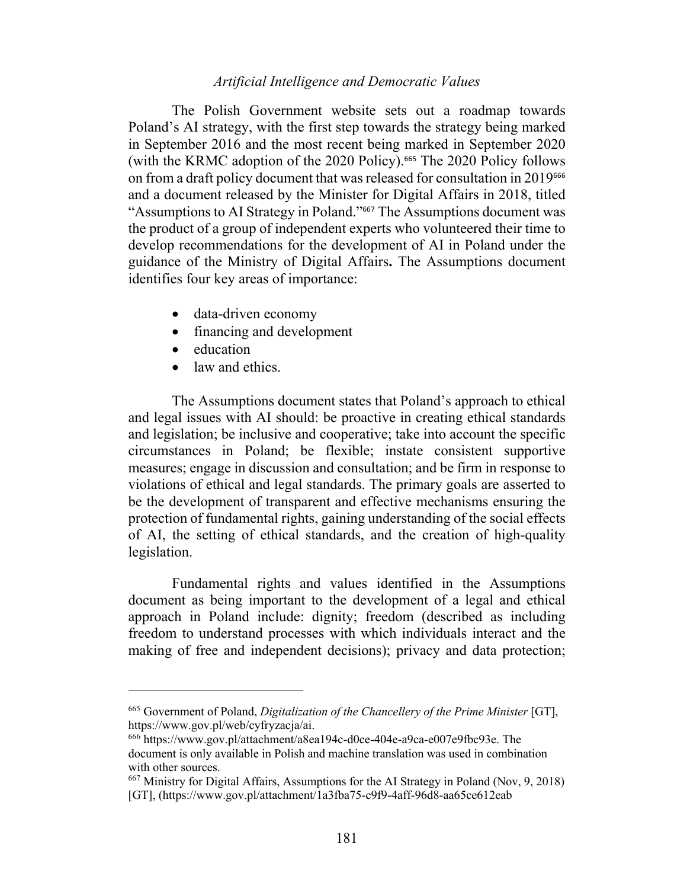The Polish Government website sets out a roadmap towards Poland's AI strategy, with the first step towards the strategy being marked in September 2016 and the most recent being marked in September 2020 (with the KRMC adoption of the 2020 Policy).<sup>665</sup> The 2020 Policy follows on from a draft policy document that was released for consultation in 2019<sup>666</sup> and a document released by the Minister for Digital Affairs in 2018, titled "Assumptions to AI Strategy in Poland."<sup>667</sup> The Assumptions document was the product of a group of independent experts who volunteered their time to develop recommendations for the development of AI in Poland under the guidance of the Ministry of Digital Affairs**.** The Assumptions document identifies four key areas of importance:

- data-driven economy
- financing and development
- education
- law and ethics.

The Assumptions document states that Poland's approach to ethical and legal issues with AI should: be proactive in creating ethical standards and legislation; be inclusive and cooperative; take into account the specific circumstances in Poland; be flexible; instate consistent supportive measures; engage in discussion and consultation; and be firm in response to violations of ethical and legal standards. The primary goals are asserted to be the development of transparent and effective mechanisms ensuring the protection of fundamental rights, gaining understanding of the social effects of AI, the setting of ethical standards, and the creation of high-quality legislation.

Fundamental rights and values identified in the Assumptions document as being important to the development of a legal and ethical approach in Poland include: dignity; freedom (described as including freedom to understand processes with which individuals interact and the making of free and independent decisions); privacy and data protection;

<sup>665</sup> Government of Poland, *Digitalization of the Chancellery of the Prime Minister* [GT],

<sup>&</sup>lt;sup>666</sup> https://www.gov.pl/attachment/a8ea194c-d0ce-404e-a9ca-e007e9fbc93e. The document is only available in Polish and machine translation was used in combination with other sources.

<sup>667</sup> Ministry for Digital Affairs, Assumptions for the AI Strategy in Poland (Nov, 9, 2018) [GT], (https://www.gov.pl/attachment/1a3fba75-c9f9-4aff-96d8-aa65ce612eab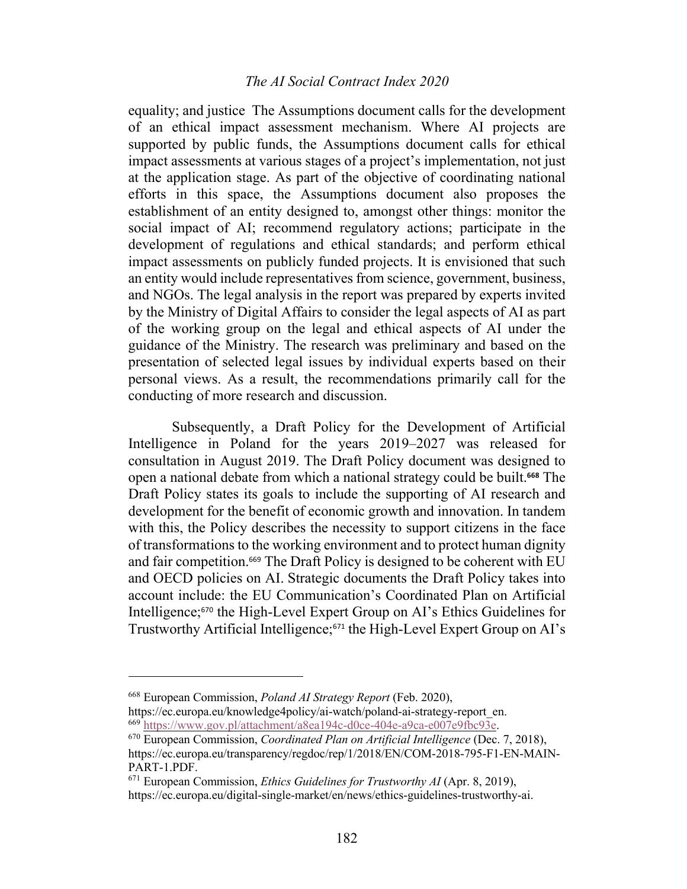## *The AI Social Contract Index 2020*

equality; and justice The Assumptions document calls for the development of an ethical impact assessment mechanism. Where AI projects are supported by public funds, the Assumptions document calls for ethical impact assessments at various stages of a project's implementation, not just at the application stage. As part of the objective of coordinating national efforts in this space, the Assumptions document also proposes the establishment of an entity designed to, amongst other things: monitor the social impact of AI; recommend regulatory actions; participate in the development of regulations and ethical standards; and perform ethical impact assessments on publicly funded projects. It is envisioned that such an entity would include representatives from science, government, business, and NGOs. The legal analysis in the report was prepared by experts invited by the Ministry of Digital Affairs to consider the legal aspects of AI as part of the working group on the legal and ethical aspects of AI under the guidance of the Ministry. The research was preliminary and based on the presentation of selected legal issues by individual experts based on their personal views. As a result, the recommendations primarily call for the conducting of more research and discussion.

Subsequently, a Draft Policy for the Development of Artificial Intelligence in Poland for the years 2019–2027 was released for consultation in August 2019. The Draft Policy document was designed to open a national debate from which a national strategy could be built.**<sup>668</sup>** The Draft Policy states its goals to include the supporting of AI research and development for the benefit of economic growth and innovation. In tandem with this, the Policy describes the necessity to support citizens in the face of transformations to the working environment and to protect human dignity and fair competition.<sup>669</sup> The Draft Policy is designed to be coherent with EU and OECD policies on AI. Strategic documents the Draft Policy takes into account include: the EU Communication's Coordinated Plan on Artificial Intelligence;<sup>670</sup> the High-Level Expert Group on AI's Ethics Guidelines for Trustworthy Artificial Intelligence;<sup>671</sup> the High-Level Expert Group on AI's

<sup>668</sup> European Commission, *Poland AI Strategy Report* (Feb. 2020), https://ec.europa.eu/knowledge4policy/ai-watch/poland-ai-strategy-report\_en. 669 https://www.gov.pl/attachment/a8ea194c-d0ce-404e-a9ca-e007e9fbc93e.

<sup>670</sup> European Commission, *Coordinated Plan on Artificial Intelligence* (Dec. 7, 2018), https://ec.europa.eu/transparency/regdoc/rep/1/2018/EN/COM-2018-795-F1-EN-MAIN-PART-1.PDF.<br><sup>671</sup> European Commission, *Ethics Guidelines for Trustworthy AI* (Apr. 8, 2019),

https://ec.europa.eu/digital-single-market/en/news/ethics-guidelines-trustworthy-ai.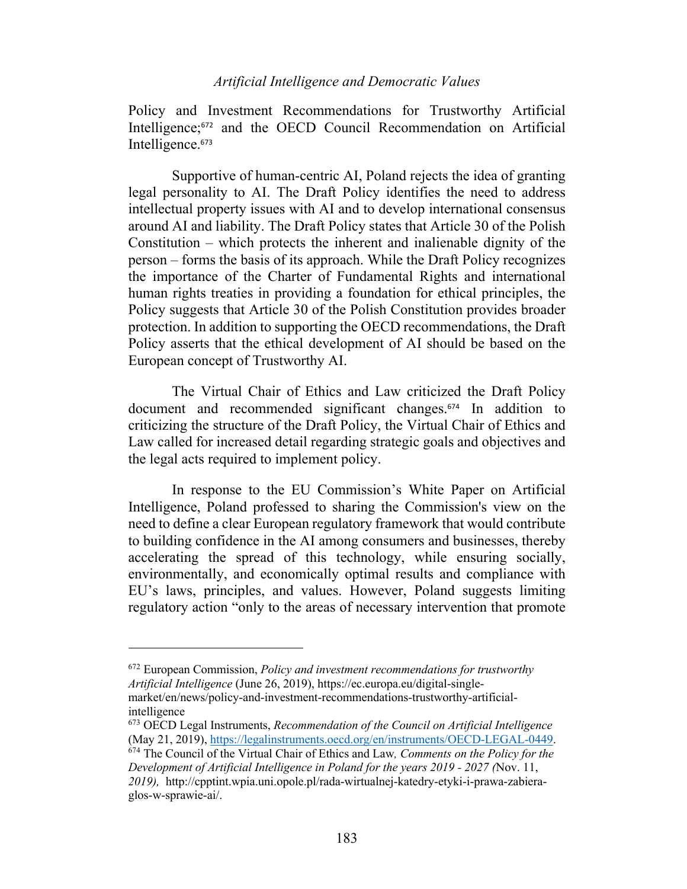Policy and Investment Recommendations for Trustworthy Artificial Intelligence;<sup>672</sup> and the OECD Council Recommendation on Artificial Intelligence.<sup>673</sup>

Supportive of human-centric AI, Poland rejects the idea of granting legal personality to AI. The Draft Policy identifies the need to address intellectual property issues with AI and to develop international consensus around AI and liability. The Draft Policy states that Article 30 of the Polish Constitution – which protects the inherent and inalienable dignity of the person – forms the basis of its approach. While the Draft Policy recognizes the importance of the Charter of Fundamental Rights and international human rights treaties in providing a foundation for ethical principles, the Policy suggests that Article 30 of the Polish Constitution provides broader protection. In addition to supporting the OECD recommendations, the Draft Policy asserts that the ethical development of AI should be based on the European concept of Trustworthy AI.

The Virtual Chair of Ethics and Law criticized the Draft Policy document and recommended significant changes.<sup>674</sup> In addition to criticizing the structure of the Draft Policy, the Virtual Chair of Ethics and Law called for increased detail regarding strategic goals and objectives and the legal acts required to implement policy.

In response to the EU Commission's White Paper on Artificial Intelligence, Poland professed to sharing the Commission's view on the need to define a clear European regulatory framework that would contribute to building confidence in the AI among consumers and businesses, thereby accelerating the spread of this technology, while ensuring socially, environmentally, and economically optimal results and compliance with EU's laws, principles, and values. However, Poland suggests limiting regulatory action "only to the areas of necessary intervention that promote

intelligence

<sup>672</sup> European Commission, *Policy and investment recommendations for trustworthy Artificial Intelligence* (June 26, 2019), https://ec.europa.eu/digital-singlemarket/en/news/policy-and-investment-recommendations-trustworthy-artificial-

<sup>673</sup> OECD Legal Instruments, *Recommendation of the Council on Artificial Intelligence* (May 21, 2019), https://legalinstruments.oecd.org/en/instruments/OECD-LEGAL-0449. 674 The Council of the Virtual Chair of Ethics and Law*, Comments on the Policy for the Development of Artificial Intelligence in Poland for the years 2019 - 2027 (*Nov. 11,

*<sup>2019),</sup>* http://cpptint.wpia.uni.opole.pl/rada-wirtualnej-katedry-etyki-i-prawa-zabieraglos-w-sprawie-ai/.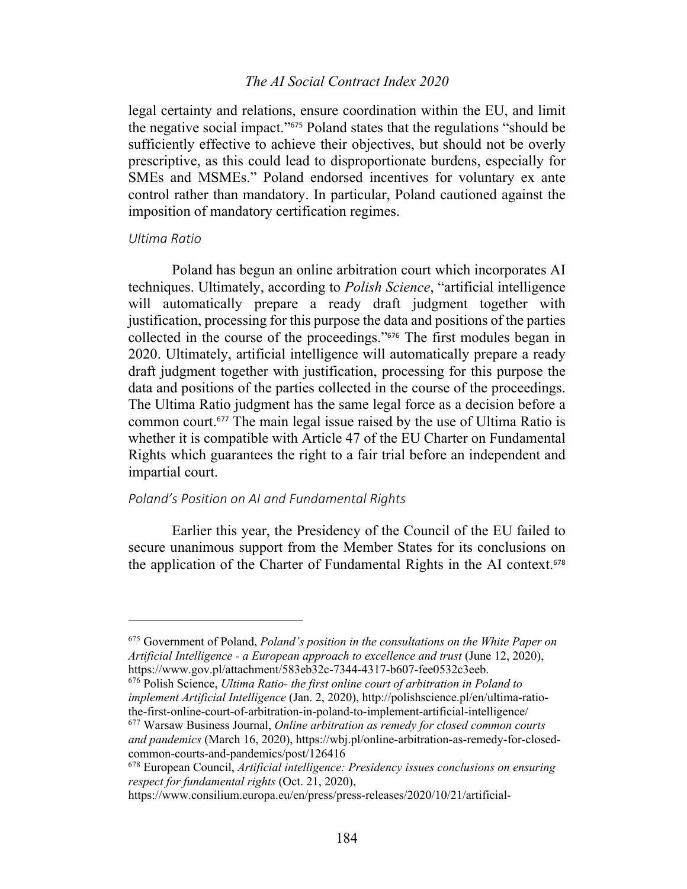#### *The AI Social Contract Index 2020*

legal certainty and relations, ensure coordination within the EU, and limit the negative social impact."<sup>675</sup> Poland states that the regulations "should be sufficiently effective to achieve their objectives, but should not be overly prescriptive, as this could lead to disproportionate burdens, especially for SMEs and MSMEs." Poland endorsed incentives for voluntary ex ante control rather than mandatory. In particular, Poland cautioned against the imposition of mandatory certification regimes.

#### *Ultima Ratio*

Poland has begun an online arbitration court which incorporates AI techniques. Ultimately, according to *Polish Science*, "artificial intelligence will automatically prepare a ready draft judgment together with justification, processing for this purpose the data and positions of the parties collected in the course of the proceedings."<sup>676</sup> The first modules began in 2020. Ultimately, artificial intelligence will automatically prepare a ready draft judgment together with justification, processing for this purpose the data and positions of the parties collected in the course of the proceedings. The Ultima Ratio judgment has the same legal force as a decision before a common court.<sup>677</sup> The main legal issue raised by the use of Ultima Ratio is whether it is compatible with Article 47 of the EU Charter on Fundamental Rights which guarantees the right to a fair trial before an independent and impartial court.

#### *Poland's Position on AI and Fundamental Rights*

Earlier this year, the Presidency of the Council of the EU failed to secure unanimous support from the Member States for its conclusions on the application of the Charter of Fundamental Rights in the AI context.<sup>678</sup>

*implement Artificial Intelligence* (Jan. 2, 2020), http://polishscience.pl/en/ultima-ratiothe-first-online-court-of-arbitration-in-poland-to-implement-artificial-intelligence/

<sup>675</sup> Government of Poland, *Poland's position in the consultations on the White Paper on Artificial Intelligence - a European approach to excellence and trust* (June 12, 2020), https://www.gov.pl/attachment/583eb32c-7344-4317-b607-fee0532c3eeb. 676 Polish Science, *Ultima Ratio- the first online court of arbitration in Poland to* 

<sup>677</sup> Warsaw Business Journal, *Online arbitration as remedy for closed common courts and pandemics* (March 16, 2020), https://wbj.pl/online-arbitration-as-remedy-for-closedcommon-courts-and-pandemics/post/126416

<sup>678</sup> European Council, *Artificial intelligence: Presidency issues conclusions on ensuring respect for fundamental rights* (Oct. 21, 2020),

https://www.consilium.europa.eu/en/press/press-releases/2020/10/21/artificial-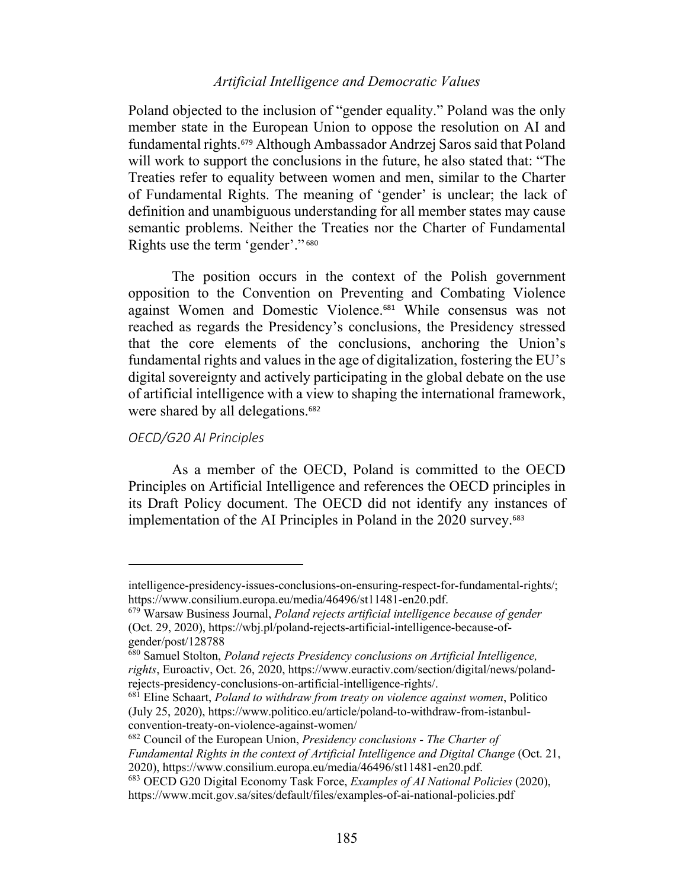Poland objected to the inclusion of "gender equality." Poland was the only member state in the European Union to oppose the resolution on AI and fundamental rights.<sup>679</sup> Although Ambassador Andrzej Saros said that Poland will work to support the conclusions in the future, he also stated that: "The Treaties refer to equality between women and men, similar to the Charter of Fundamental Rights. The meaning of 'gender' is unclear; the lack of definition and unambiguous understanding for all member states may cause semantic problems. Neither the Treaties nor the Charter of Fundamental Rights use the term 'gender'." <sup>680</sup>

The position occurs in the context of the Polish government opposition to the Convention on Preventing and Combating Violence against Women and Domestic Violence. <sup>681</sup> While consensus was not reached as regards the Presidency's conclusions, the Presidency stressed that the core elements of the conclusions, anchoring the Union's fundamental rights and values in the age of digitalization, fostering the EU's digital sovereignty and actively participating in the global debate on the use of artificial intelligence with a view to shaping the international framework, were shared by all delegations. 682

#### *OECD/G20 AI Principles*

As a member of the OECD, Poland is committed to the OECD Principles on Artificial Intelligence and references the OECD principles in its Draft Policy document. The OECD did not identify any instances of implementation of the AI Principles in Poland in the 2020 survey. 683

intelligence-presidency-issues-conclusions-on-ensuring-respect-for-fundamental-rights/; https://www.consilium.europa.eu/media/46496/st11481-en20.pdf. 679 Warsaw Business Journal, *Poland rejects artificial intelligence because of gender*

<sup>(</sup>Oct. 29, 2020), https://wbj.pl/poland-rejects-artificial-intelligence-because-ofgender/post/128788

<sup>680</sup> Samuel Stolton, *Poland rejects Presidency conclusions on Artificial Intelligence, rights*, Euroactiv, Oct. 26, 2020, https://www.euractiv.com/section/digital/news/polandrejects-presidency-conclusions-on-artificial-intelligence-rights/. 681 Eline Schaart, *Poland to withdraw from treaty on violence against women*, Politico

<sup>(</sup>July 25, 2020), https://www.politico.eu/article/poland-to-withdraw-from-istanbulconvention-treaty-on-violence-against-women/

<sup>682</sup> Council of the European Union, *Presidency conclusions - The Charter of Fundamental Rights in the context of Artificial Intelligence and Digital Change* (Oct. 21, 2020), https://www.consilium.europa.eu/media/46496/st11481-en20.pdf. 683 OECD G20 Digital Economy Task Force, *Examples of AI National Policies* (2020),

https://www.mcit.gov.sa/sites/default/files/examples-of-ai-national-policies.pdf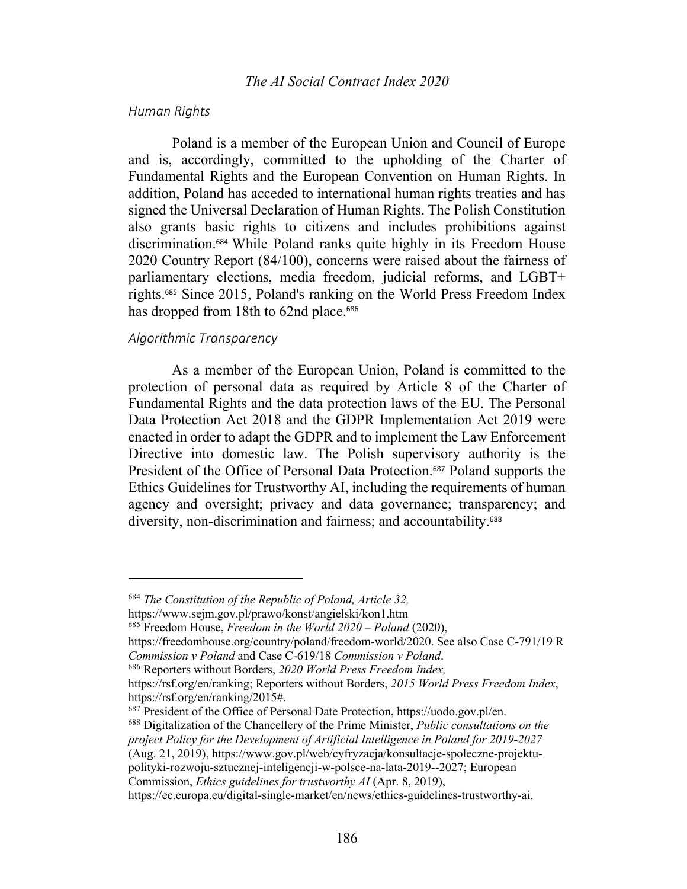#### *Human Rights*

Poland is a member of the European Union and Council of Europe and is, accordingly, committed to the upholding of the Charter of Fundamental Rights and the European Convention on Human Rights. In addition, Poland has acceded to international human rights treaties and has signed the Universal Declaration of Human Rights. The Polish Constitution also grants basic rights to citizens and includes prohibitions against discrimination.<sup>684</sup> While Poland ranks quite highly in its Freedom House 2020 Country Report (84/100), concerns were raised about the fairness of parliamentary elections, media freedom, judicial reforms, and LGBT+ rights.<sup>685</sup> Since 2015, Poland's ranking on the World Press Freedom Index has dropped from 18th to 62nd place.<sup>686</sup>

#### *Algorithmic Transparency*

As a member of the European Union, Poland is committed to the protection of personal data as required by Article 8 of the Charter of Fundamental Rights and the data protection laws of the EU. The Personal Data Protection Act 2018 and the GDPR Implementation Act 2019 were enacted in order to adapt the GDPR and to implement the Law Enforcement Directive into domestic law. The Polish supervisory authority is the President of the Office of Personal Data Protection.<sup>687</sup> Poland supports the Ethics Guidelines for Trustworthy AI, including the requirements of human agency and oversight; privacy and data governance; transparency; and diversity, non-discrimination and fairness; and accountability.<sup>688</sup>

<sup>684</sup> *The Constitution of the Republic of Poland, Article 32,*

https://www.sejm.gov.pl/prawo/konst/angielski/kon1.htm

<sup>685</sup> Freedom House, *Freedom in the World 2020 – Poland* (2020),

https://freedomhouse.org/country/poland/freedom-world/2020. See also Case C-791/19 R *Commission v Poland* and Case C-619/18 *Commission v Poland*. 686 Reporters without Borders, *2020 World Press Freedom Index,*

https://rsf.org/en/ranking; Reporters without Borders, *2015 World Press Freedom Index*, https://rsf.org/en/ranking/2015#.<br><sup>687</sup> President of the Office of Personal Date Protection, https://uodo.gov.pl/en.<br><sup>688</sup> Digitalization of the Chancellery of the Prime Minister, *Public consultations on the* 

*project Policy for the Development of Artificial Intelligence in Poland for 2019-2027* (Aug. 21, 2019), https://www.gov.pl/web/cyfryzacja/konsultacje-spoleczne-projektu-

polityki-rozwoju-sztucznej-inteligencji-w-polsce-na-lata-2019--2027; European Commission, *Ethics guidelines for trustworthy AI* (Apr. 8, 2019),

https://ec.europa.eu/digital-single-market/en/news/ethics-guidelines-trustworthy-ai.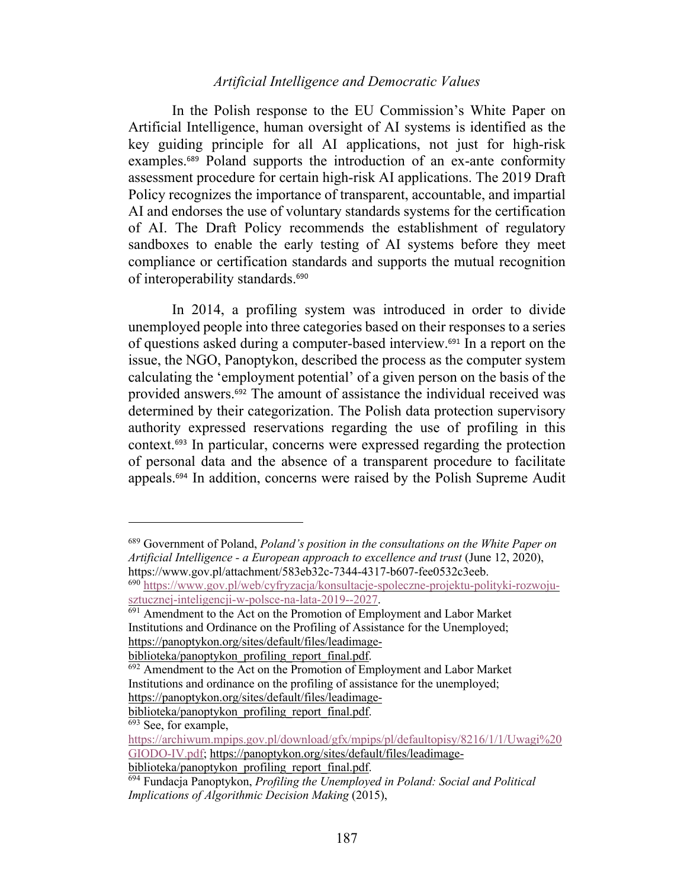In the Polish response to the EU Commission's White Paper on Artificial Intelligence, human oversight of AI systems is identified as the key guiding principle for all AI applications, not just for high-risk examples.<sup>689</sup> Poland supports the introduction of an ex-ante conformity assessment procedure for certain high-risk AI applications. The 2019 Draft Policy recognizes the importance of transparent, accountable, and impartial AI and endorses the use of voluntary standards systems for the certification of AI. The Draft Policy recommends the establishment of regulatory sandboxes to enable the early testing of AI systems before they meet compliance or certification standards and supports the mutual recognition of interoperability standards.<sup>690</sup>

In 2014, a profiling system was introduced in order to divide unemployed people into three categories based on their responses to a series of questions asked during a computer-based interview.<sup>691</sup> In a report on the issue, the NGO, Panoptykon, described the process as the computer system calculating the 'employment potential' of a given person on the basis of the provided answers.<sup>692</sup> The amount of assistance the individual received was determined by their categorization. The Polish data protection supervisory authority expressed reservations regarding the use of profiling in this context.<sup>693</sup> In particular, concerns were expressed regarding the protection of personal data and the absence of a transparent procedure to facilitate appeals.<sup>694</sup> In addition, concerns were raised by the Polish Supreme Audit

<sup>689</sup> Government of Poland, *Poland's position in the consultations on the White Paper on Artificial Intelligence - a European approach to excellence and trust* (June 12, 2020), https://www.gov.pl/attachment/583eb32c-7344-4317-b607-fee0532c3eeb.

<sup>690</sup> https://www.gov.pl/web/cyfryzacja/konsultacje-spoleczne-projektu-polityki-rozwojusztucznej-inteligencji-w-polsce-na-lata-2019--2027.

<sup>&</sup>lt;sup>691</sup> Amendment to the Act on the Promotion of Employment and Labor Market Institutions and Ordinance on the Profiling of Assistance for the Unemployed; https://panoptykon.org/sites/default/files/leadimage-

biblioteka/panoptykon\_profiling\_report\_final.pdf.<br><sup>692</sup> Amendment to the Act on the Promotion of Employment and Labor Market Institutions and ordinance on the profiling of assistance for the unemployed; https://panoptykon.org/sites/default/files/leadimage-

biblioteka/panoptykon\_profiling\_report\_final.pdf.

 $\sqrt{693}$  See, for example,

https://archiwum.mpips.gov.pl/download/gfx/mpips/pl/defaultopisy/8216/1/1/Uwagi%20 GIODO-IV.pdf; https://panoptykon.org/sites/default/files/leadimage-

biblioteka/panoptykon\_profiling\_report\_final.pdf. 694 Fundacja Panoptykon, *Profiling the Unemployed in Poland: Social and Political Implications of Algorithmic Decision Making* (2015),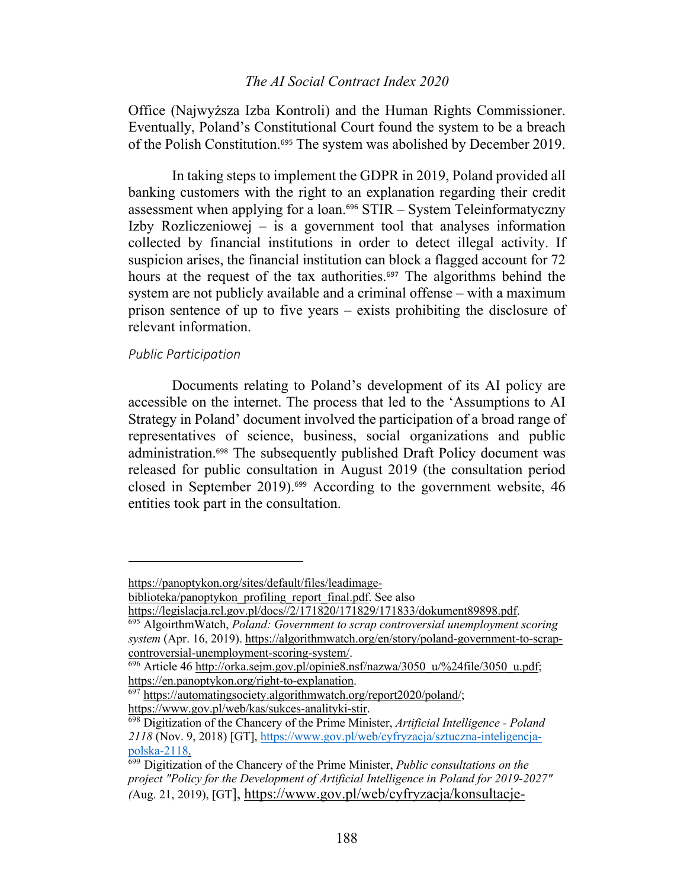## *The AI Social Contract Index 2020*

Office (Najwyższa Izba Kontroli) and the Human Rights Commissioner. Eventually, Poland's Constitutional Court found the system to be a breach of the Polish Constitution.<sup>695</sup> The system was abolished by December 2019.

In taking steps to implement the GDPR in 2019, Poland provided all banking customers with the right to an explanation regarding their credit assessment when applying for a loan.<sup>696</sup> STIR – System Teleinformatyczny Izby Rozliczeniowej – is a government tool that analyses information collected by financial institutions in order to detect illegal activity. If suspicion arises, the financial institution can block a flagged account for 72 hours at the request of the tax authorities.<sup>697</sup> The algorithms behind the system are not publicly available and a criminal offense – with a maximum prison sentence of up to five years – exists prohibiting the disclosure of relevant information.

# *Public Participation*

Documents relating to Poland's development of its AI policy are accessible on the internet. The process that led to the 'Assumptions to AI Strategy in Poland' document involved the participation of a broad range of representatives of science, business, social organizations and public administration.<sup>698</sup> The subsequently published Draft Policy document was released for public consultation in August 2019 (the consultation period closed in September 2019).<sup>699</sup> According to the government website, 46 entities took part in the consultation.

https://panoptykon.org/sites/default/files/leadimage-

biblioteka/panoptykon\_profiling\_report\_final.pdf. See also

https://legislacja.rcl.gov.pl/docs//2/171820/171829/171833/dokument89898.pdf. 695 AlgoirthmWatch, *Poland: Government to scrap controversial unemployment scoring* 

*system* (Apr. 16, 2019). https://algorithmwatch.org/en/story/poland-government-to-scrapcontroversial-unemployment-scoring-system/.<br><sup>696</sup> Article 46 http://orka.sejm.gov.pl/opinie8.nsf/nazwa/3050\_u/%24file/3050\_u.pdf;

https://en.panoptykon.org/right-to-explanation.<br><sup>697</sup> https://automatingsociety.algorithmwatch.org/report2020/poland/;

https://www.gov.pl/web/kas/sukces-analityki-stir. 698 Digitization of the Chancery of the Prime Minister, *Artificial Intelligence - Poland 2118* (Nov. 9, 2018) [GT], https://www.gov.pl/web/cyfryzacja/sztuczna-inteligencjapolska-2118. 699 Digitization of the Chancery of the Prime Minister, *Public consultations on the* 

*project "Policy for the Development of Artificial Intelligence in Poland for 2019-2027" (*Aug. 21, 2019), [GT], https://www.gov.pl/web/cyfryzacja/konsultacje-